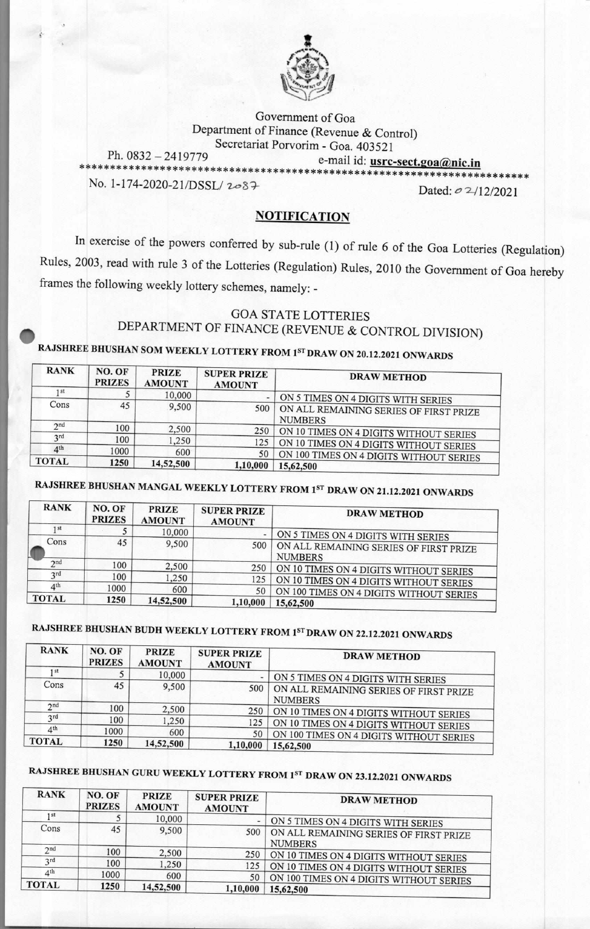

Government of Goa Department of Finance (Revenue & Control) Secretariat Porvorim - Goa. 403521 Ph. 0832 — 2419779 e-mail id: **usrc-sect.2oaAnic.in \*\*\*\*\*\*\*\*\*\*\*\*\*\*\*\*\*\*\*\*\*\*\*\*\*\*\*\*\*\*\*\*\*\*\*\*\*\*\*\*\*\*\*\*\*\*\*\*\*\*\*\*\*\*\*\*\*\*\*\*\*\*\*\*\*\*\*\*\*\*\*\***  No. 1-174-2020-21/DSSL/  $2087$  Dated: 0 2/12/2021

#### **NOTIFICATION**

In exercise of the powers conferred by sub-rule (1) of rule 6 of the Goa Lotteries (Regulation) Rules, 2003, read with rule 3 of the Lotteries (Regulation) Rules, 2010 the Government of Goa hereby frames the following weekly lottery schemes, namely: -

### GOA STATE LOTTERIES DEPARTMENT OF FINANCE (REVENUE & CONTROL DIVISION)

**<sup>41111</sup>RAJSHREE BHUSHAN SOM WEEKLY LOTTERY FROM** 1ST **DRAW ON 20.12.2021 ONWARDS** 

| <b>RANK</b>     | NO. OF<br><b>PRIZES</b> | <b>PRIZE</b><br><b>AMOUNT</b> | <b>SUPER PRIZE</b><br><b>AMOUNT</b> | <b>DRAW METHOD</b>                                       |
|-----------------|-------------------------|-------------------------------|-------------------------------------|----------------------------------------------------------|
| 1st             |                         | 10,000                        | $\overline{\phantom{a}}$            | ON 5 TIMES ON 4 DIGITS WITH SERIES                       |
| Cons            | 45                      | 9.500                         | 500                                 | ON ALL REMAINING SERIES OF FIRST PRIZE<br><b>NUMBERS</b> |
| 2 <sub>nd</sub> | 100                     | 2,500                         | 250                                 | ON 10 TIMES ON 4 DIGITS WITHOUT SERIES                   |
| 3 <sup>rd</sup> | 100                     | ,250                          | 125                                 | ON 10 TIMES ON 4 DIGITS WITHOUT SERIES                   |
| 4 <sup>th</sup> | 1000                    | 600                           | 50                                  | ON 100 TIMES ON 4 DIGITS WITHOUT SERIES                  |
| <b>TOTAL</b>    | 1250                    | 14,52,500                     | 1,10,000                            | 15,62,500                                                |

# **RAJSHREE BHUSHAN MANGAL WEEKLY LOTTERY FROM** 1ST **DRAW ON 21.12.2021 ONWARDS**

| <b>RANK</b>     | NO. OF<br><b>PRIZES</b> | <b>PRIZE</b><br><b>AMOUNT</b> | <b>SUPER PRIZE</b><br><b>AMOUNT</b> | <b>DRAW METHOD</b>                                       |
|-----------------|-------------------------|-------------------------------|-------------------------------------|----------------------------------------------------------|
| 1 <sub>st</sub> |                         | 10,000                        |                                     | ON 5 TIMES ON 4 DIGITS WITH SERIES                       |
| Cons            | 45                      | 9,500                         | 500                                 | ON ALL REMAINING SERIES OF FIRST PRIZE<br><b>NUMBERS</b> |
| 2 <sub>nd</sub> | 100                     | 2,500                         | 250                                 | ON 10 TIMES ON 4 DIGITS WITHOUT SERIES                   |
| 3rd             | 100                     | .250                          | 125                                 | ON 10 TIMES ON 4 DIGITS WITHOUT SERIES                   |
| 4 <sup>th</sup> | 1000                    | 600                           | 50                                  | ON 100 TIMES ON 4 DIGITS WITHOUT SERIES                  |
| <b>TOTAL</b>    | 1250                    | 14,52,500                     | 1,10,000                            | 15,62,500                                                |

# **RAJSHREE BHUSHAN BUDH WEEKLY LOTTERY FROM 1ST DRAW ON 22.12.2021 ONWARDS**

| <b>RANK</b>     | NO. OF<br><b>PRIZES</b> | <b>PRIZE</b><br><b>AMOUNT</b> | <b>SUPER PRIZE</b><br><b>AMOUNT</b> | <b>DRAW METHOD</b>                                       |
|-----------------|-------------------------|-------------------------------|-------------------------------------|----------------------------------------------------------|
| 1st             |                         | 10,000                        |                                     | ON 5 TIMES ON 4 DIGITS WITH SERIES                       |
| Cons            | 45                      | 9,500                         | 500                                 | ON ALL REMAINING SERIES OF FIRST PRIZE<br><b>NUMBERS</b> |
| 2 <sub>nd</sub> | 100                     | 2,500                         | 250                                 | ON 10 TIMES ON 4 DIGITS WITHOUT SERIES                   |
| 3rd             | 100                     | 1,250                         | 125                                 | ON 10 TIMES ON 4 DIGITS WITHOUT SERIES                   |
| 4 <sup>th</sup> | 1000                    | 600                           | 50                                  | ON 100 TIMES ON 4 DIGITS WITHOUT SERIES                  |
| <b>TOTAL</b>    | 1250                    | 14,52,500                     | 1,10,000                            | 15,62,500                                                |

# **RAJSHREE BHUSHAN GURU WEEKLY LOTTERY FROM 1ST DRAW ON 23.12.2021 ONWARDS**

| <b>RANK</b>     | NO. OF<br><b>PRIZES</b> | <b>PRIZE</b><br><b>AMOUNT</b> | <b>SUPER PRIZE</b><br><b>AMOUNT</b> | <b>DRAW METHOD</b>                                       |
|-----------------|-------------------------|-------------------------------|-------------------------------------|----------------------------------------------------------|
| 1 <sub>st</sub> |                         | 10,000                        |                                     | ON 5 TIMES ON 4 DIGITS WITH SERIES                       |
| Cons            | 45                      | 9,500                         | 500                                 | ON ALL REMAINING SERIES OF FIRST PRIZE<br><b>NUMBERS</b> |
| 2 <sub>nd</sub> | 100                     | 2,500                         | 250                                 | ON 10 TIMES ON 4 DIGITS WITHOUT SERIES                   |
| 2rd             | 100                     | 1,250                         | 125                                 | ON 10 TIMES ON 4 DIGITS WITHOUT SERIES                   |
| 4 <sup>th</sup> | 1000                    | 600                           | 50                                  | ON 100 TIMES ON 4 DIGITS WITHOUT SERIES                  |
| <b>TOTAL</b>    | 1250                    | 14,52,500                     | 1,10,000                            | 15,62,500                                                |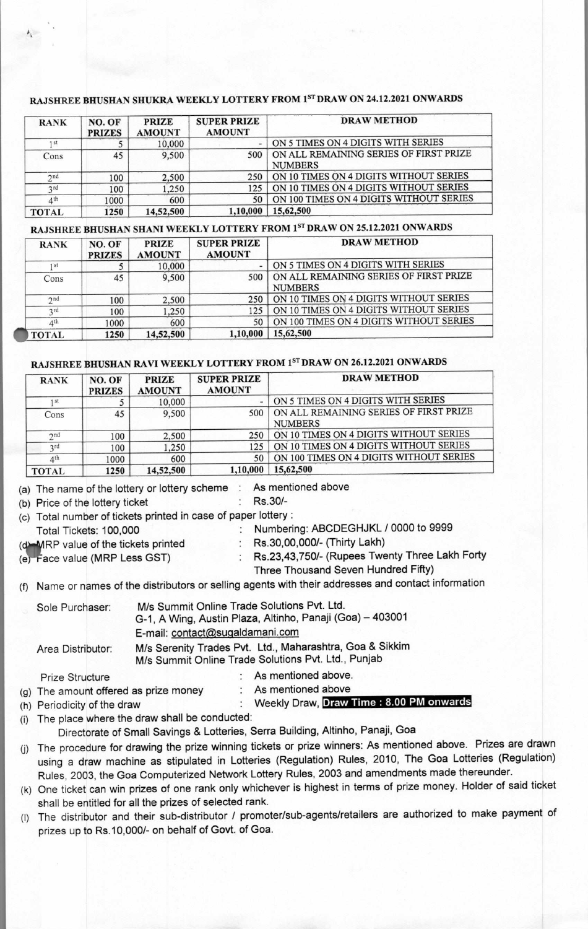#### **RAJSHREE BHUSHAN SHUKRA WEEKLY LOTTERY FROM 1sT DRAW ON 24.12.2021 ONWARDS**

| <b>RANK</b>     | NO. OF<br><b>PRIZES</b> | <b>PRIZE</b><br><b>AMOUNT</b> | <b>SUPER PRIZE</b><br><b>AMOUNT</b> | <b>DRAW METHOD</b>                                       |
|-----------------|-------------------------|-------------------------------|-------------------------------------|----------------------------------------------------------|
| 1 <sup>st</sup> |                         | 10,000                        | -                                   | ON 5 TIMES ON 4 DIGITS WITH SERIES                       |
| Cons            | 45                      | 9.500                         | 500                                 | ON ALL REMAINING SERIES OF FIRST PRIZE<br><b>NUMBERS</b> |
| 2 <sub>nd</sub> | 100                     | 2,500                         | 250                                 | ON 10 TIMES ON 4 DIGITS WITHOUT SERIES                   |
| 2rd             | 100                     | ,250                          | 125                                 | ON 10 TIMES ON 4 DIGITS WITHOUT SERIES                   |
| 4 <sup>th</sup> | 1000                    | 600                           | 50                                  | ON 100 TIMES ON 4 DIGITS WITHOUT SERIES                  |
| <b>TOTAL</b>    | 1250                    | 14,52,500                     | 1,10,000                            | 15,62,500                                                |

### **RAJSHREE BHUSHAN SHANI WEEKLY LOTTERY FROM 1sT DRAW ON 25.12.2021 ONWARDS**

| <b>RANK</b>     | NO. OF<br><b>PRIZES</b> | <b>PRIZE</b><br><b>AMOUNT</b> | <b>SUPER PRIZE</b><br><b>AMOUNT</b> | <b>DRAW METHOD</b>                                       |
|-----------------|-------------------------|-------------------------------|-------------------------------------|----------------------------------------------------------|
| 1 <sub>st</sub> |                         | 10,000                        |                                     | ON 5 TIMES ON 4 DIGITS WITH SERIES                       |
| Cons            | 45                      | 9,500                         | 500                                 | ON ALL REMAINING SERIES OF FIRST PRIZE<br><b>NUMBERS</b> |
| 2nd             | 100                     | 2,500                         | 250                                 | ON 10 TIMES ON 4 DIGITS WITHOUT SERIES                   |
| 2rd             | 100                     | ,250                          | 125                                 | ON 10 TIMES ON 4 DIGITS WITHOUT SERIES                   |
| 4 <sup>th</sup> | 1000                    | 600                           | 50                                  | ON 100 TIMES ON 4 DIGITS WITHOUT SERIES                  |
| <b>TOTAL</b>    | 1250                    | 14,52,500                     | 1,10,000                            | 15,62,500                                                |

#### **RAJSHREE BHUSHAN RAVI WEEKLY LOTTERY FROM 1ST DRAW ON 26.12.2021 ONWARDS**

| <b>RANK</b>     | NO. OF<br><b>PRIZES</b> | <b>PRIZE</b><br><b>AMOUNT</b> | <b>SUPER PRIZE</b><br><b>AMOUNT</b> | <b>DRAW METHOD</b>                                       |
|-----------------|-------------------------|-------------------------------|-------------------------------------|----------------------------------------------------------|
| 1 <sup>st</sup> |                         | 10,000                        |                                     | ON 5 TIMES ON 4 DIGITS WITH SERIES                       |
| Cons            | 45                      | 9,500                         | 500                                 | ON ALL REMAINING SERIES OF FIRST PRIZE<br><b>NUMBERS</b> |
| 2nd             | 100                     | 2,500                         | 250                                 | ON 10 TIMES ON 4 DIGITS WITHOUT SERIES                   |
| 3 <sup>rd</sup> | 100                     | 1,250                         | 125                                 | ON 10 TIMES ON 4 DIGITS WITHOUT SERIES                   |
| 4 <sup>th</sup> | 1000                    | 600                           | 50                                  | ON 100 TIMES ON 4 DIGITS WITHOUT SERIES                  |
| <b>TOTAL</b>    | 1250                    | 14,52,500                     | 1,10,000                            | 15,62,500                                                |

(a) The name of the lottery or lottery scheme  $\therefore$  As mentioned above (b) Price of the lottery ticket  $\therefore$  Rs.30/-

(b) Price of the lottery ticket

(c) Total number of tickets printed in case of paper lottery :

: Numbering: ABCDEGHJKL / 0000 to 9999<br>: Rs.30,00,000/- (Thirty Lakh)

(d) MRP value of the tickets printed

- 
- (e) Face value (MRP Less GST) : Rs.23,43,750/- (Rupees Twenty Three Lakh Forty

Three Thousand Seven Hundred Fifty)

(f) Name or names of the distributors or selling agents with their addresses and contact information

| Sole Purchaser:        | M/s Summit Online Trade Solutions Pvt. Ltd.<br>G-1, A Wing, Austin Plaza, Altinho, Panaji (Goa) - 403001        |  |
|------------------------|-----------------------------------------------------------------------------------------------------------------|--|
|                        | E-mail: contact@sugaldamani.com                                                                                 |  |
| Area Distributor:      | M/s Serenity Trades Pvt. Ltd., Maharashtra, Goa & Sikkim<br>M/s Summit Online Trade Solutions Pvt. Ltd., Punjab |  |
| <b>Prize Structure</b> | : As mentioned above.                                                                                           |  |

(g) The amount offered as prize money : As mentioned above

| (h) Periodicity of the draw | Weekly Draw, Draw Time: 8.00 PM onwards |
|-----------------------------|-----------------------------------------|
|-----------------------------|-----------------------------------------|

(i) The place where the draw shall be conducted:

Directorate of Small Savings & Lotteries, Serra Building, Altinho, Panaji, Goa

(j) The procedure for drawing the prize winning tickets or prize winners: As mentioned above. Prizes are drawn using a draw machine as stipulated in Lotteries (Regulation) Rules, 2010, The Goa Lotteries (Regulation) Rules, 2003, the Goa Computerized Network Lottery Rules, 2003 and amendments made thereunder.

(k) One ticket can win prizes of one rank only whichever is highest in terms of prize money. Holder of said ticket shall be entitled for all the prizes of selected rank.

(I) The distributor and their sub-distributor / promoter/sub-agents/retailers are authorized to make payment of prizes up to Rs.10,000/- on behalf of Govt. of Goa.